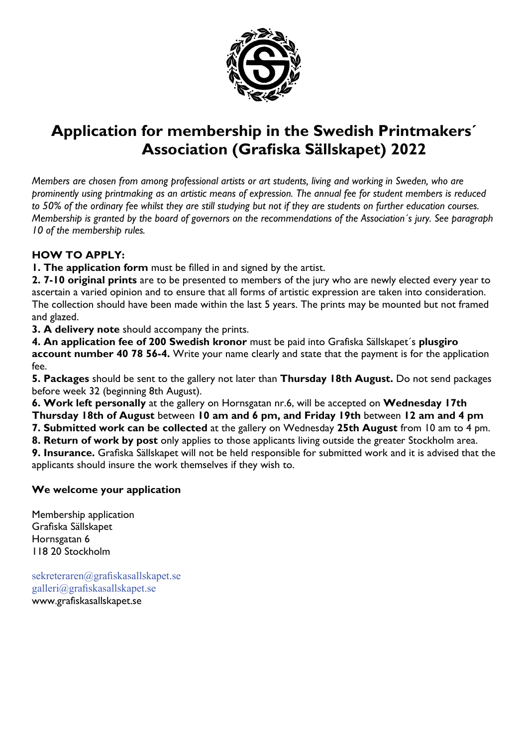

## **Application for membership in the Swedish Printmakers´ Association (Grafiska Sällskapet) 2022**

*Members are chosen from among professional artists or art students, living and working in Sweden, who are prominently using printmaking as an artistic means of expression. The annual fee for student members is reduced to 50% of the ordinary fee whilst they are still studying but not if they are students on further education courses. Membership is granted by the board of governors on the recommendations of the Association´s jury. See paragraph 10 of the membership rules.*

#### **HOW TO APPLY:**

**1. The application form** must be filled in and signed by the artist.

**2. 7-10 original prints** are to be presented to members of the jury who are newly elected every year to ascertain a varied opinion and to ensure that all forms of artistic expression are taken into consideration. The collection should have been made within the last 5 years. The prints may be mounted but not framed and glazed.

**3. A delivery note** should accompany the prints.

**4. An application fee of 200 Swedish kronor** must be paid into Grafiska Sällskapet´s **plusgiro account number 40 78 56-4.** Write your name clearly and state that the payment is for the application fee.

**5. Packages** should be sent to the gallery not later than **Thursday 18th August.** Do not send packages before week 32 (beginning 8th August).

**6. Work left personally** at the gallery on Hornsgatan nr.6, will be accepted on **Wednesday 17th**

**Thursday 18th of August** between **10 am and 6 pm, and Friday 19th** between **12 am and 4 pm**

**7. Submitted work can be collected** at the gallery on Wednesday **25th August** from 10 am to 4 pm.

**8. Return of work by post** only applies to those applicants living outside the greater Stockholm area. **9. Insurance.** Grafiska Sällskapet will not be held responsible for submitted work and it is advised that the applicants should insure the work themselves if they wish to.

### **We welcome your application**

Membership application Grafiska Sällskapet Hornsgatan 6 118 20 Stockholm

sekreteraren@grafiskasallskapet.se galleri@grafiskasallskapet.se www.grafiskasallskapet.se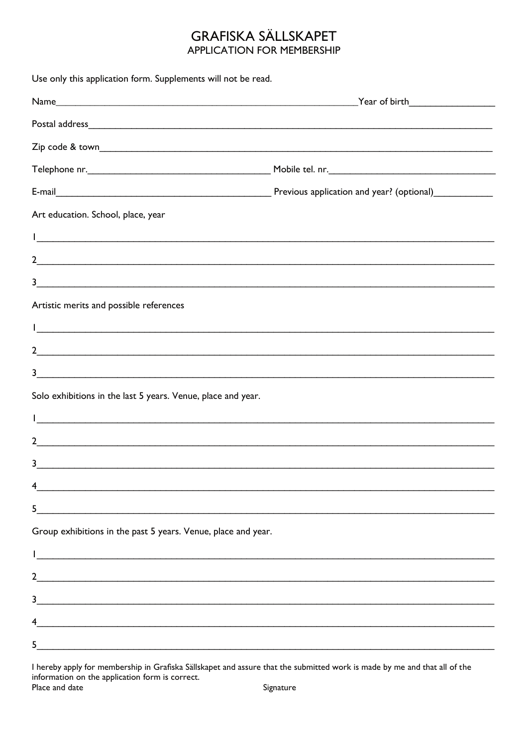### **GRAFISKA SÄLLSKAPET APPLICATION FOR MEMBERSHIP**

| Use only this application form. Supplements will not be read.                                                                          |  |
|----------------------------------------------------------------------------------------------------------------------------------------|--|
|                                                                                                                                        |  |
|                                                                                                                                        |  |
|                                                                                                                                        |  |
|                                                                                                                                        |  |
|                                                                                                                                        |  |
| Art education. School, place, year                                                                                                     |  |
| <u> 1 - Jan Andreas Andreas Andreas Andreas Andreas Andreas Andreas Andreas Andreas Andreas Andreas Andreas Andr</u>                   |  |
| <u>2</u>                                                                                                                               |  |
| <u>3</u>                                                                                                                               |  |
| Artistic merits and possible references                                                                                                |  |
|                                                                                                                                        |  |
| <u>2</u>                                                                                                                               |  |
| 3<br><u> 1989 - Jan James James James James James James James James James James James James James James James James J</u>              |  |
| Solo exhibitions in the last 5 years. Venue, place and year.                                                                           |  |
|                                                                                                                                        |  |
| $\overline{2}$<br><u> 1989 - Andrea San Andrea San Andrea San Andrea San Andrea San Andrea San Andrea San Andrea San Andrea San An</u> |  |
| 3                                                                                                                                      |  |
| 4<br><u> 1989 - Johann Stoff, deutscher Stoff, der Stoff, der Stoff, der Stoff, der Stoff, der Stoff, der Stoff, der S</u>             |  |
| 5<br><u> 1989 - Johann Barbara, martin amerikan basar dan berasal dalam basa dalam basar dalam basar dalam basa dalam</u>              |  |
| Group exhibitions in the past 5 years. Venue, place and year.                                                                          |  |
| <u> 1989 - Jan Samuel Barbara, margaret eta biztanleria (h. 1989).</u>                                                                 |  |
| 2                                                                                                                                      |  |
| 3<br><u> 1989 - Johann John Stoff, deutscher Stoff und der Stoff und der Stoff und der Stoff und der Stoff und der Stoff</u>           |  |
| 4                                                                                                                                      |  |
| 5<br><u> 1989 - Johann Stoff, deutscher Stoffen und der Stoffen und der Stoffen und der Stoffen und der Stoffen und der</u>            |  |
|                                                                                                                                        |  |

I hereby apply for membership in Grafiska Sällskapet and assure that the submitted work is made by me and that all of the information on the application form is correct. Place and date Signature